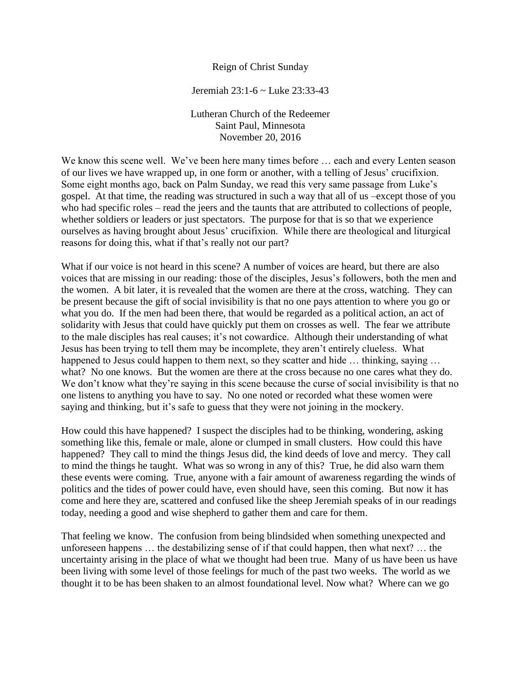## Reign of Christ Sunday

Jeremiah 23:1-6 ~ Luke 23:33-43

Lutheran Church of the Redeemer Saint Paul, Minnesota November 20, 2016

We know this scene well. We've been here many times before ... each and every Lenten season of our lives we have wrapped up, in one form or another, with a telling of Jesus' crucifixion. Some eight months ago, back on Palm Sunday, we read this very same passage from Luke's gospel. At that time, the reading was structured in such a way that all of us –except those of you who had specific roles – read the jeers and the taunts that are attributed to collections of people, whether soldiers or leaders or just spectators. The purpose for that is so that we experience ourselves as having brought about Jesus' crucifixion. While there are theological and liturgical reasons for doing this, what if that's really not our part?

What if our voice is not heard in this scene? A number of voices are heard, but there are also voices that are missing in our reading: those of the disciples, Jesus's followers, both the men and the women. A bit later, it is revealed that the women are there at the cross, watching. They can be present because the gift of social invisibility is that no one pays attention to where you go or what you do. If the men had been there, that would be regarded as a political action, an act of solidarity with Jesus that could have quickly put them on crosses as well. The fear we attribute to the male disciples has real causes; it's not cowardice. Although their understanding of what Jesus has been trying to tell them may be incomplete, they aren't entirely clueless. What happened to Jesus could happen to them next, so they scatter and hide ... thinking, saying ... what? No one knows. But the women are there at the cross because no one cares what they do. We don't know what they're saying in this scene because the curse of social invisibility is that no one listens to anything you have to say. No one noted or recorded what these women were saying and thinking, but it's safe to guess that they were not joining in the mockery.

How could this have happened? I suspect the disciples had to be thinking, wondering, asking something like this, female or male, alone or clumped in small clusters. How could this have happened? They call to mind the things Jesus did, the kind deeds of love and mercy. They call to mind the things he taught. What was so wrong in any of this? True, he did also warn them these events were coming. True, anyone with a fair amount of awareness regarding the winds of politics and the tides of power could have, even should have, seen this coming. But now it has come and here they are, scattered and confused like the sheep Jeremiah speaks of in our readings today, needing a good and wise shepherd to gather them and care for them.

That feeling we know. The confusion from being blindsided when something unexpected and unforeseen happens … the destabilizing sense of if that could happen, then what next? … the uncertainty arising in the place of what we thought had been true. Many of us have been us have been living with some level of those feelings for much of the past two weeks. The world as we thought it to be has been shaken to an almost foundational level. Now what? Where can we go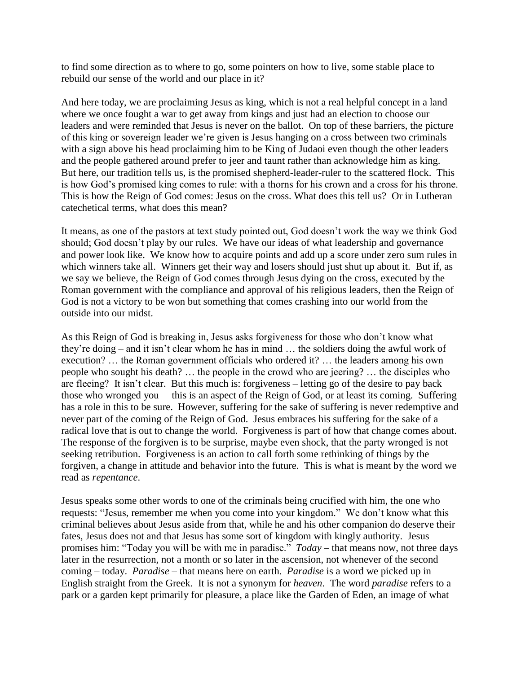to find some direction as to where to go, some pointers on how to live, some stable place to rebuild our sense of the world and our place in it?

And here today, we are proclaiming Jesus as king, which is not a real helpful concept in a land where we once fought a war to get away from kings and just had an election to choose our leaders and were reminded that Jesus is never on the ballot. On top of these barriers, the picture of this king or sovereign leader we're given is Jesus hanging on a cross between two criminals with a sign above his head proclaiming him to be King of Judaoi even though the other leaders and the people gathered around prefer to jeer and taunt rather than acknowledge him as king. But here, our tradition tells us, is the promised shepherd-leader-ruler to the scattered flock. This is how God's promised king comes to rule: with a thorns for his crown and a cross for his throne. This is how the Reign of God comes: Jesus on the cross. What does this tell us? Or in Lutheran catechetical terms, what does this mean?

It means, as one of the pastors at text study pointed out, God doesn't work the way we think God should; God doesn't play by our rules. We have our ideas of what leadership and governance and power look like. We know how to acquire points and add up a score under zero sum rules in which winners take all. Winners get their way and losers should just shut up about it. But if, as we say we believe, the Reign of God comes through Jesus dying on the cross, executed by the Roman government with the compliance and approval of his religious leaders, then the Reign of God is not a victory to be won but something that comes crashing into our world from the outside into our midst.

As this Reign of God is breaking in, Jesus asks forgiveness for those who don't know what they're doing – and it isn't clear whom he has in mind … the soldiers doing the awful work of execution? … the Roman government officials who ordered it? … the leaders among his own people who sought his death? … the people in the crowd who are jeering? … the disciples who are fleeing? It isn't clear. But this much is: forgiveness – letting go of the desire to pay back those who wronged you— this is an aspect of the Reign of God, or at least its coming. Suffering has a role in this to be sure. However, suffering for the sake of suffering is never redemptive and never part of the coming of the Reign of God. Jesus embraces his suffering for the sake of a radical love that is out to change the world. Forgiveness is part of how that change comes about. The response of the forgiven is to be surprise, maybe even shock, that the party wronged is not seeking retribution. Forgiveness is an action to call forth some rethinking of things by the forgiven, a change in attitude and behavior into the future. This is what is meant by the word we read as *repentance*.

Jesus speaks some other words to one of the criminals being crucified with him, the one who requests: "Jesus, remember me when you come into your kingdom." We don't know what this criminal believes about Jesus aside from that, while he and his other companion do deserve their fates, Jesus does not and that Jesus has some sort of kingdom with kingly authority. Jesus promises him: "Today you will be with me in paradise." *Today* – that means now, not three days later in the resurrection, not a month or so later in the ascension, not whenever of the second coming – today. *Paradise* – that means here on earth. *Paradise* is a word we picked up in English straight from the Greek. It is not a synonym for *heaven*. The word *paradise* refers to a park or a garden kept primarily for pleasure, a place like the Garden of Eden, an image of what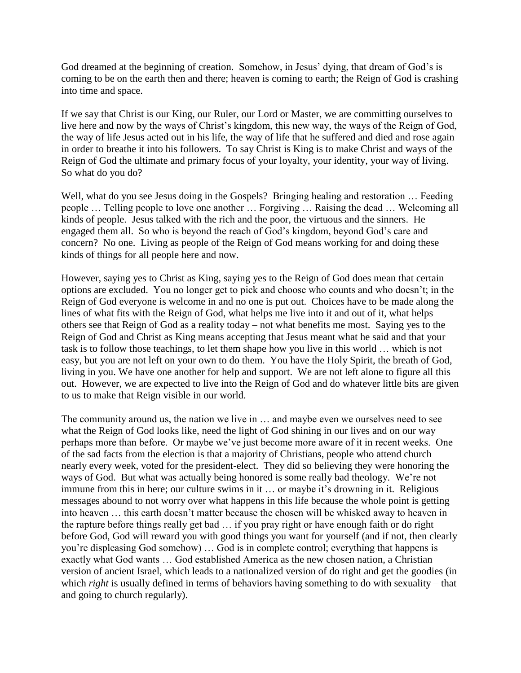God dreamed at the beginning of creation. Somehow, in Jesus' dying, that dream of God's is coming to be on the earth then and there; heaven is coming to earth; the Reign of God is crashing into time and space.

If we say that Christ is our King, our Ruler, our Lord or Master, we are committing ourselves to live here and now by the ways of Christ's kingdom, this new way, the ways of the Reign of God, the way of life Jesus acted out in his life, the way of life that he suffered and died and rose again in order to breathe it into his followers. To say Christ is King is to make Christ and ways of the Reign of God the ultimate and primary focus of your loyalty, your identity, your way of living. So what do you do?

Well, what do you see Jesus doing in the Gospels? Bringing healing and restoration ... Feeding people … Telling people to love one another … Forgiving … Raising the dead … Welcoming all kinds of people. Jesus talked with the rich and the poor, the virtuous and the sinners. He engaged them all. So who is beyond the reach of God's kingdom, beyond God's care and concern? No one. Living as people of the Reign of God means working for and doing these kinds of things for all people here and now.

However, saying yes to Christ as King, saying yes to the Reign of God does mean that certain options are excluded. You no longer get to pick and choose who counts and who doesn't; in the Reign of God everyone is welcome in and no one is put out. Choices have to be made along the lines of what fits with the Reign of God, what helps me live into it and out of it, what helps others see that Reign of God as a reality today – not what benefits me most. Saying yes to the Reign of God and Christ as King means accepting that Jesus meant what he said and that your task is to follow those teachings, to let them shape how you live in this world … which is not easy, but you are not left on your own to do them. You have the Holy Spirit, the breath of God, living in you. We have one another for help and support. We are not left alone to figure all this out. However, we are expected to live into the Reign of God and do whatever little bits are given to us to make that Reign visible in our world.

The community around us, the nation we live in … and maybe even we ourselves need to see what the Reign of God looks like, need the light of God shining in our lives and on our way perhaps more than before. Or maybe we've just become more aware of it in recent weeks. One of the sad facts from the election is that a majority of Christians, people who attend church nearly every week, voted for the president-elect. They did so believing they were honoring the ways of God. But what was actually being honored is some really bad theology. We're not immune from this in here; our culture swims in it … or maybe it's drowning in it. Religious messages abound to not worry over what happens in this life because the whole point is getting into heaven … this earth doesn't matter because the chosen will be whisked away to heaven in the rapture before things really get bad … if you pray right or have enough faith or do right before God, God will reward you with good things you want for yourself (and if not, then clearly you're displeasing God somehow) … God is in complete control; everything that happens is exactly what God wants … God established America as the new chosen nation, a Christian version of ancient Israel, which leads to a nationalized version of do right and get the goodies (in which *right* is usually defined in terms of behaviors having something to do with sexuality – that and going to church regularly).